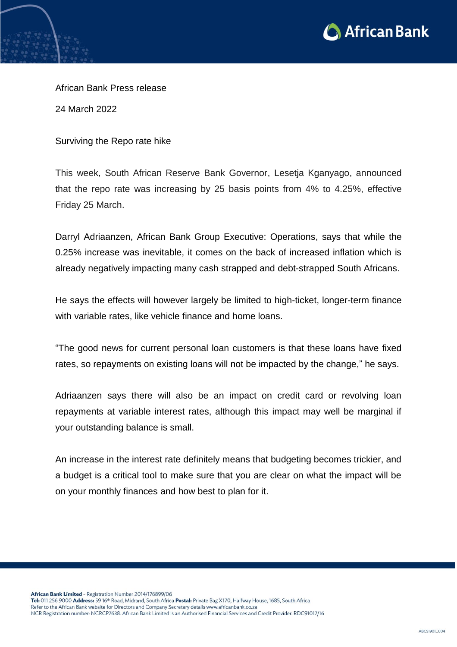

African Bank Press release

24 March 2022

Surviving the Repo rate hike

This week, South African Reserve Bank Governor, Lesetja Kganyago, announced that the repo rate was increasing by 25 basis points from 4% to 4.25%, effective Friday 25 March.

Darryl Adriaanzen, African Bank Group Executive: Operations, says that while the 0.25% increase was inevitable, it comes on the back of increased inflation which is already negatively impacting many cash strapped and debt-strapped South Africans.

He says the effects will however largely be limited to high-ticket, longer-term finance with variable rates, like vehicle finance and home loans.

"The good news for current personal loan customers is that these loans have fixed rates, so repayments on existing loans will not be impacted by the change," he says.

Adriaanzen says there will also be an impact on credit card or revolving loan repayments at variable interest rates, although this impact may well be marginal if your outstanding balance is small.

An increase in the interest rate definitely means that budgeting becomes trickier, and a budget is a critical tool to make sure that you are clear on what the impact will be on your monthly finances and how best to plan for it.

African Bank Limited - Registration Number 2014/176899/06 Tel: 011 256 9000 Address: 59 16<sup>th</sup> Road, Midrand, South Africa Postal: Private Bag X170, Halfway House, 1685, South Africa

Refer to the African Bank website for Directors and Company Secretary details www.africanbank.co.za NCR Registration number: NCRCP7638. African Bank Limited is an Authorised Financial Services and Credit Provider. RDC91017/16